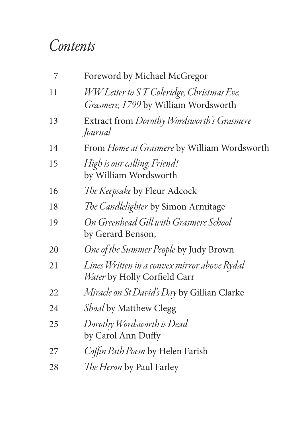## *Contents*

| 7  | Foreword by Michael McGregor                                                      |
|----|-----------------------------------------------------------------------------------|
| 11 | WW Letter to ST Coleridge, Christmas Eve,<br>Grasmere, 1799 by William Wordsworth |
| 13 | Extract from Dorothy Wordsworth's Grasmere<br>Journal                             |
| 14 | From Home at Grasmere by William Wordsworth                                       |
| 15 | High is our calling, Friend!<br>by William Wordsworth                             |
| 16 | The Keepsake by Fleur Adcock                                                      |
| 18 | The Candlelighter by Simon Armitage                                               |
| 19 | On Greenhead Gill with Grasmere School<br>by Gerard Benson,                       |
| 20 | One of the Summer People by Judy Brown                                            |
| 21 | Lines Written in a convex mirror above Rydal<br>Water by Holly Corfield Carr      |
| 22 | Miracle on St David's Day by Gillian Clarke                                       |
| 24 | <i>Shoal</i> by Matthew Clegg                                                     |
| 25 | Dorothy Wordsworth is Dead<br>by Carol Ann Duffy                                  |
| 27 | Coffin Path Poem by Helen Farish                                                  |
| 28 | <i>The Heron</i> by Paul Farley                                                   |
|    |                                                                                   |